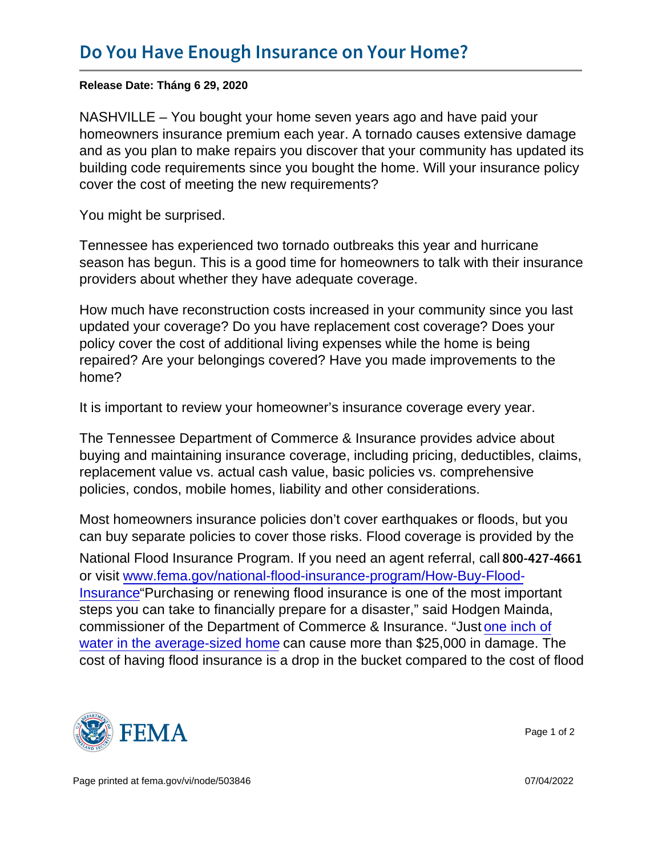Release Date: Tháng 6 29, 2020

NASHVILLE – You bought your home seven years ago and have paid your homeowners insurance premium each year. A tornado causes extensive damage and as you plan to make repairs you discover that your community has updated its building code requirements since you bought the home. Will your insurance policy cover the cost of meeting the new requirements?

You might be surprised.

Tennessee has experienced two tornado outbreaks this year and hurricane season has begun. This is a good time for homeowners to talk with their insurance providers about whether they have adequate coverage.

How much have reconstruction costs increased in your community since you last updated your coverage? Do you have replacement cost coverage? Does your policy cover the cost of additional living expenses while the home is being repaired? Are your belongings covered? Have you made improvements to the home?

It is important to review your homeowner's insurance coverage every year.

The Tennessee Department of Commerce & Insurance provides advice about buying and maintaining insurance coverage, including pricing, deductibles, claims, replacement value vs. actual cash value, basic policies vs. comprehensive policies, condos, mobile homes, liability and other considerations.

Most homeowners insurance policies don't cover earthquakes or floods, but you can buy separate policies to cover those risks. Flood coverage is provided by the

National Flood Insurance Program. If you need an agent referral, call 800-427-4661 or visit [www.fema.gov/national-flood-insurance-program/How-Buy-Flood-](http://www.fema.gov/national-flood-insurance-program/How-Buy-Flood-Insurance)[Insurance](http://www.fema.gov/national-flood-insurance-program/How-Buy-Flood-Insurance)"Purchasing or renewing flood insurance is one of the most important steps you can take to financially prepare for a disaster," said Hodgen Mainda, commissioner of the Department of Commerce & Insurance. "Just [one inch of](https://www.fema.gov/media-library/assets/documents/181549) [water in the average-sized home](https://www.fema.gov/media-library/assets/documents/181549) can cause more than \$25,000 in damage. The cost of having flood insurance is a drop in the bucket compared to the cost of flood



Page 1 of 2

Page printed at [fema.gov/vi/node/503846](https://www.fema.gov/vi/node/503846) 07/04/2022